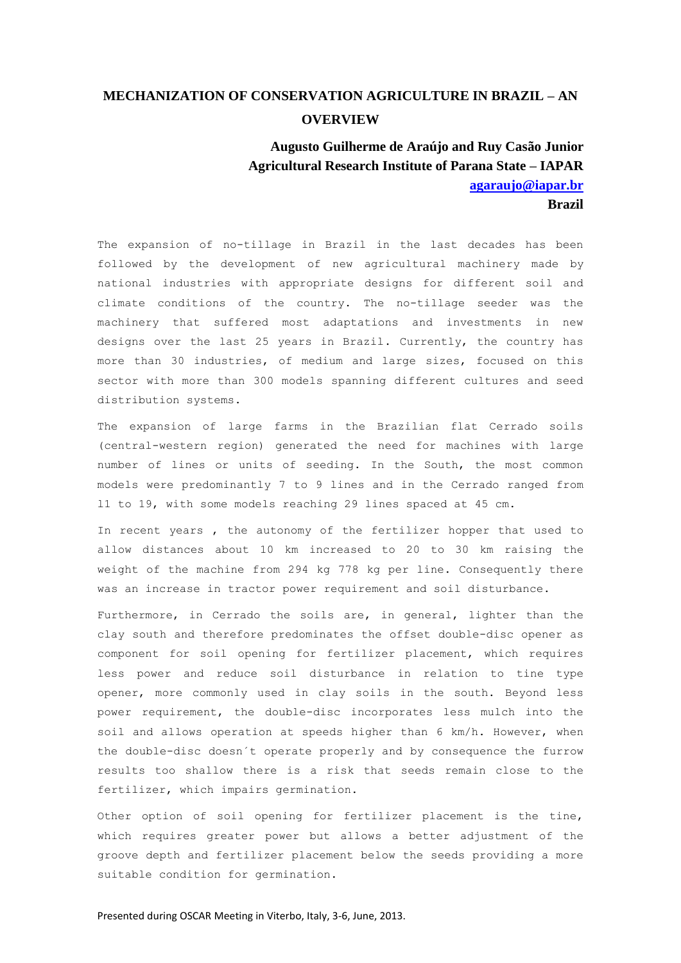## **MECHANIZATION OF CONSERVATION AGRICULTURE IN BRAZIL – AN OVERVIEW**

**Augusto Guilherme de Araújo and Ruy Casão Junior Agricultural Research Institute of Parana State – IAPAR [agaraujo@iapar.br](mailto:agaraujo@iapar.br) Brazil**

The expansion of no-tillage in Brazil in the last decades has been followed by the development of new agricultural machinery made by national industries with appropriate designs for different soil and climate conditions of the country. The no-tillage seeder was the machinery that suffered most adaptations and investments in new designs over the last 25 years in Brazil. Currently, the country has more than 30 industries, of medium and large sizes, focused on this sector with more than 300 models spanning different cultures and seed distribution systems.

The expansion of large farms in the Brazilian flat Cerrado soils (central-western region) generated the need for machines with large number of lines or units of seeding. In the South, the most common models were predominantly 7 to 9 lines and in the Cerrado ranged from l1 to 19, with some models reaching 29 lines spaced at 45 cm.

In recent years , the autonomy of the fertilizer hopper that used to allow distances about 10 km increased to 20 to 30 km raising the weight of the machine from 294 kg 778 kg per line. Consequently there was an increase in tractor power requirement and soil disturbance.

Furthermore, in Cerrado the soils are, in general, lighter than the clay south and therefore predominates the offset double-disc opener as component for soil opening for fertilizer placement, which requires less power and reduce soil disturbance in relation to tine type opener, more commonly used in clay soils in the south. Beyond less power requirement, the double-disc incorporates less mulch into the soil and allows operation at speeds higher than 6 km/h. However, when the double-disc doesn´t operate properly and by consequence the furrow results too shallow there is a risk that seeds remain close to the fertilizer, which impairs germination.

Other option of soil opening for fertilizer placement is the tine, which requires greater power but allows a better adjustment of the groove depth and fertilizer placement below the seeds providing a more suitable condition for germination.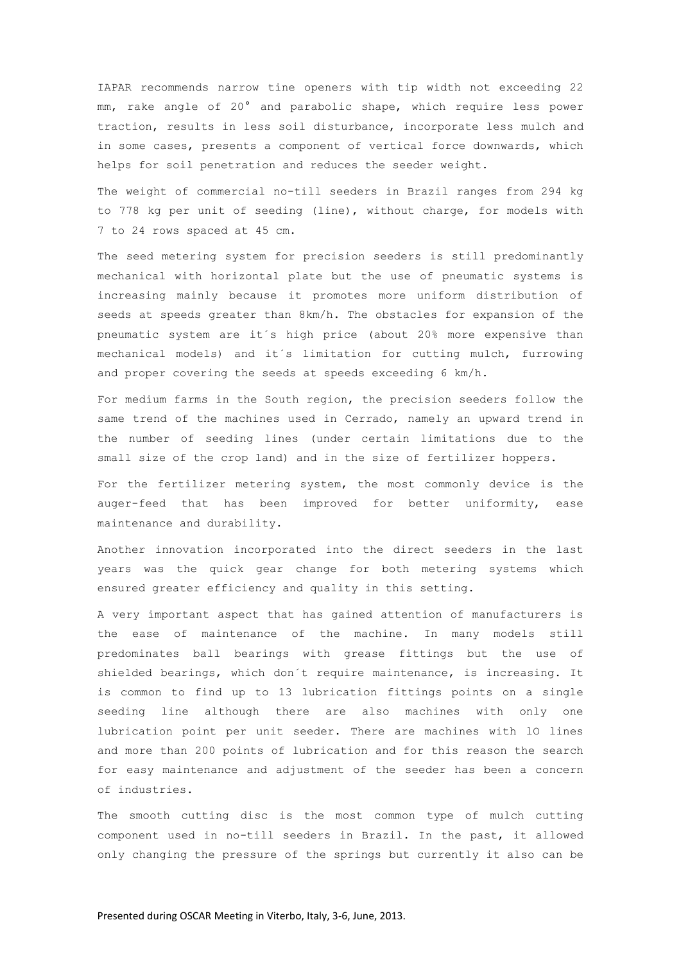IAPAR recommends narrow tine openers with tip width not exceeding 22 mm, rake angle of 20° and parabolic shape, which require less power traction, results in less soil disturbance, incorporate less mulch and in some cases, presents a component of vertical force downwards, which helps for soil penetration and reduces the seeder weight.

The weight of commercial no-till seeders in Brazil ranges from 294 kg to 778 kg per unit of seeding (line), without charge, for models with 7 to 24 rows spaced at 45 cm.

The seed metering system for precision seeders is still predominantly mechanical with horizontal plate but the use of pneumatic systems is increasing mainly because it promotes more uniform distribution of seeds at speeds greater than 8km/h. The obstacles for expansion of the pneumatic system are it´s high price (about 20% more expensive than mechanical models) and it´s limitation for cutting mulch, furrowing and proper covering the seeds at speeds exceeding 6 km/h.

For medium farms in the South region, the precision seeders follow the same trend of the machines used in Cerrado, namely an upward trend in the number of seeding lines (under certain limitations due to the small size of the crop land) and in the size of fertilizer hoppers.

For the fertilizer metering system, the most commonly device is the auger-feed that has been improved for better uniformity, ease maintenance and durability.

Another innovation incorporated into the direct seeders in the last years was the quick gear change for both metering systems which ensured greater efficiency and quality in this setting.

A very important aspect that has gained attention of manufacturers is the ease of maintenance of the machine. In many models still predominates ball bearings with grease fittings but the use of shielded bearings, which don´t require maintenance, is increasing. It is common to find up to 13 lubrication fittings points on a single seeding line although there are also machines with only one lubrication point per unit seeder. There are machines with 10 lines and more than 200 points of lubrication and for this reason the search for easy maintenance and adjustment of the seeder has been a concern of industries.

The smooth cutting disc is the most common type of mulch cutting component used in no-till seeders in Brazil. In the past, it allowed only changing the pressure of the springs but currently it also can be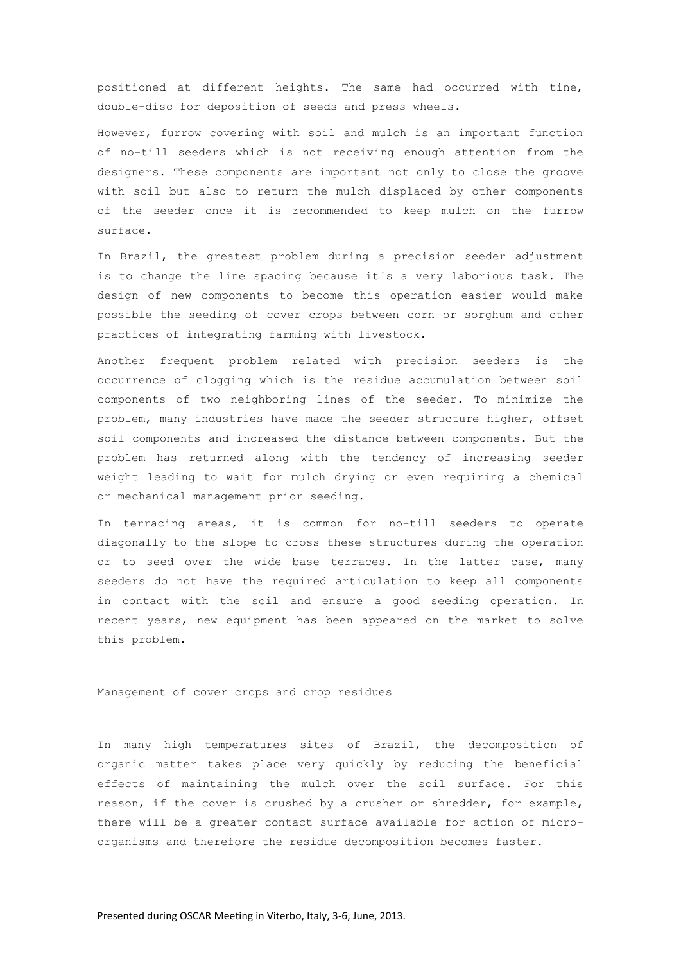positioned at different heights. The same had occurred with tine, double-disc for deposition of seeds and press wheels.

However, furrow covering with soil and mulch is an important function of no-till seeders which is not receiving enough attention from the designers. These components are important not only to close the groove with soil but also to return the mulch displaced by other components of the seeder once it is recommended to keep mulch on the furrow surface.

In Brazil, the greatest problem during a precision seeder adjustment is to change the line spacing because it´s a very laborious task. The design of new components to become this operation easier would make possible the seeding of cover crops between corn or sorghum and other practices of integrating farming with livestock.

Another frequent problem related with precision seeders is the occurrence of clogging which is the residue accumulation between soil components of two neighboring lines of the seeder. To minimize the problem, many industries have made the seeder structure higher, offset soil components and increased the distance between components. But the problem has returned along with the tendency of increasing seeder weight leading to wait for mulch drying or even requiring a chemical or mechanical management prior seeding.

In terracing areas, it is common for no-till seeders to operate diagonally to the slope to cross these structures during the operation or to seed over the wide base terraces. In the latter case, many seeders do not have the required articulation to keep all components in contact with the soil and ensure a good seeding operation. In recent years, new equipment has been appeared on the market to solve this problem.

Management of cover crops and crop residues

In many high temperatures sites of Brazil, the decomposition of organic matter takes place very quickly by reducing the beneficial effects of maintaining the mulch over the soil surface. For this reason, if the cover is crushed by a crusher or shredder, for example, there will be a greater contact surface available for action of microorganisms and therefore the residue decomposition becomes faster.

Presented during OSCAR Meeting in Viterbo, Italy, 3-6, June, 2013.